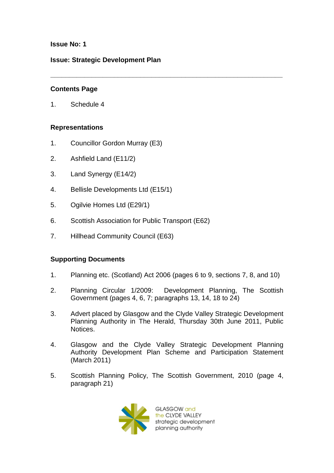## **Issue No: 1**

## **Issue: Strategic Development Plan**

## **Contents Page**

1. Schedule 4

## **Representations**

- 1. Councillor Gordon Murray (E3)
- 2. Ashfield Land (E11/2)
- 3. Land Synergy (E14/2)
- 4. Bellisle Developments Ltd (E15/1)
- 5. Ogilvie Homes Ltd (E29/1)
- 6. Scottish Association for Public Transport (E62)
- 7. Hillhead Community Council (E63)

# **Supporting Documents**

1. Planning etc. (Scotland) Act 2006 (pages 6 to 9, sections 7, 8, and 10)

**\_\_\_\_\_\_\_\_\_\_\_\_\_\_\_\_\_\_\_\_\_\_\_\_\_\_\_\_\_\_\_\_\_\_\_\_\_\_\_\_\_\_\_\_\_\_\_\_\_\_\_\_\_\_\_\_\_\_\_\_\_\_**

- 2. Planning Circular 1/2009: Development Planning, The Scottish Government (pages 4, 6, 7; paragraphs 13, 14, 18 to 24)
- 3. Advert placed by Glasgow and the Clyde Valley Strategic Development Planning Authority in The Herald, Thursday 30th June 2011, Public Notices.
- 4. Glasgow and the Clyde Valley Strategic Development Planning Authority Development Plan Scheme and Participation Statement (March 2011)
- 5. Scottish Planning Policy, The Scottish Government, 2010 (page 4, paragraph 21)



GLASGOW and the CLYDE VALLEY strategic development planning authority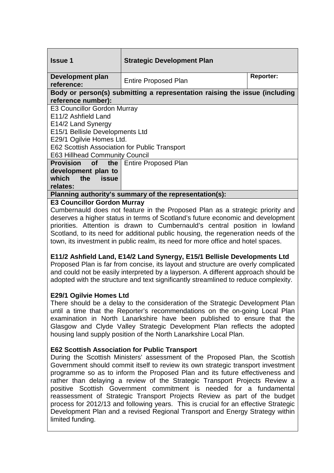| <b>Issue 1</b>                                                             | <b>Strategic Development Plan</b> |                  |
|----------------------------------------------------------------------------|-----------------------------------|------------------|
| Development plan<br>reference:                                             | <b>Entire Proposed Plan</b>       | <b>Reporter:</b> |
| Body or person(s) submitting a representation raising the issue (including |                                   |                  |
| reference number):                                                         |                                   |                  |
| <b>E3 Councillor Gordon Murray</b>                                         |                                   |                  |
| E11/2 Ashfield Land                                                        |                                   |                  |
| E14/2 Land Synergy                                                         |                                   |                  |
| E15/1 Bellisle Developments Ltd                                            |                                   |                  |
| E29/1 Ogilvie Homes Ltd.                                                   |                                   |                  |
| E62 Scottish Association for Public Transport                              |                                   |                  |
| <b>E63 Hillhead Community Council</b>                                      |                                   |                  |
| <b>Provision</b> of                                                        | the   Entire Proposed Plan        |                  |
| development plan to                                                        |                                   |                  |
| which the<br>issue                                                         |                                   |                  |
| relates:                                                                   |                                   |                  |
| Planning authority's summary of the representation(s):                     |                                   |                  |
|                                                                            |                                   |                  |

#### **E3 Councillor Gordon Murray**

Cumbernauld does not feature in the Proposed Plan as a strategic priority and deserves a higher status in terms of Scotland's future economic and development priorities. Attention is drawn to Cumbernauld's central position in lowland Scotland, to its need for additional public housing, the regeneration needs of the town, its investment in public realm, its need for more office and hotel spaces.

## **E11/2 Ashfield Land, E14/2 Land Synergy, E15/1 Bellisle Developments Ltd**

Proposed Plan is far from concise, its layout and structure are overly complicated and could not be easily interpreted by a layperson. A different approach should be adopted with the structure and text significantly streamlined to reduce complexity.

## **E29/1 Ogilvie Homes Ltd**

There should be a delay to the consideration of the Strategic Development Plan until a time that the Reporter's recommendations on the on-going Local Plan examination in North Lanarkshire have been published to ensure that the Glasgow and Clyde Valley Strategic Development Plan reflects the adopted housing land supply position of the North Lanarkshire Local Plan.

## **E62 Scottish Association for Public Transport**

During the Scottish Ministers' assessment of the Proposed Plan, the Scottish Government should commit itself to review its own strategic transport investment programme so as to inform the Proposed Plan and its future effectiveness and rather than delaying a review of the Strategic Transport Projects Review a positive Scottish Government commitment is needed for a fundamental reassessment of Strategic Transport Projects Review as part of the budget process for 2012/13 and following years. This is crucial for an effective Strategic Development Plan and a revised Regional Transport and Energy Strategy within limited funding.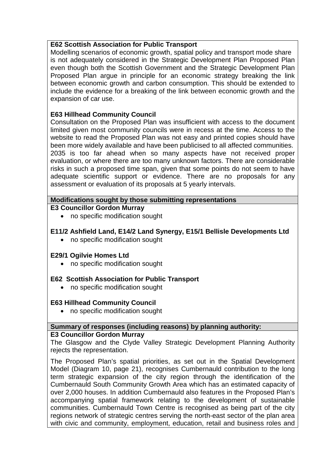## **E62 Scottish Association for Public Transport**

Modelling scenarios of economic growth, spatial policy and transport mode share is not adequately considered in the Strategic Development Plan Proposed Plan even though both the Scottish Government and the Strategic Development Plan Proposed Plan argue in principle for an economic strategy breaking the link between economic growth and carbon consumption. This should be extended to include the evidence for a breaking of the link between economic growth and the expansion of car use.

# **E63 Hillhead Community Council**

Consultation on the Proposed Plan was insufficient with access to the document limited given most community councils were in recess at the time. Access to the website to read the Proposed Plan was not easy and printed copies should have been more widely available and have been publicised to all affected communities. 2035 is too far ahead when so many aspects have not received proper evaluation, or where there are too many unknown factors. There are considerable risks in such a proposed time span, given that some points do not seem to have adequate scientific support or evidence. There are no proposals for any assessment or evaluation of its proposals at 5 yearly intervals.

## **Modifications sought by those submitting representations**

**E3 Councillor Gordon Murray** 

• no specific modification sought

# **E11/2 Ashfield Land, E14/2 Land Synergy, E15/1 Bellisle Developments Ltd**

• no specific modification sought

## **E29/1 Ogilvie Homes Ltd**

• no specific modification sought

# **E62 Scottish Association for Public Transport**

• no specific modification sought

# **E63 Hillhead Community Council**

• no specific modification sought

#### **Summary of responses (including reasons) by planning authority: E3 Councillor Gordon Murray**

# The Glasgow and the Clyde Valley Strategic Development Planning Authority rejects the representation.

The Proposed Plan's spatial priorities, as set out in the Spatial Development Model (Diagram 10, page 21), recognises Cumbernauld contribution to the long term strategic expansion of the city region through the identification of the Cumbernauld South Community Growth Area which has an estimated capacity of over 2,000 houses. In addition Cumbernauld also features in the Proposed Plan's accompanying spatial framework relating to the development of sustainable communities. Cumbernauld Town Centre is recognised as being part of the city regions network of strategic centres serving the north-east sector of the plan area with civic and community, employment, education, retail and business roles and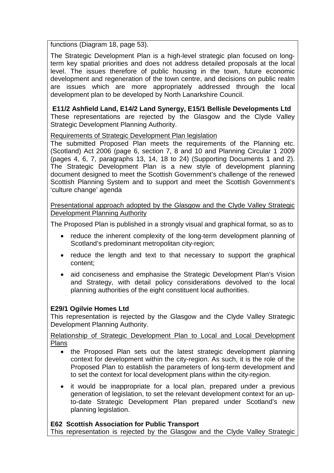functions (Diagram 18, page 53).

The Strategic Development Plan is a high-level strategic plan focused on longterm key spatial priorities and does not address detailed proposals at the local level. The issues therefore of public housing in the town, future economic development and regeneration of the town centre, and decisions on public realm are issues which are more appropriately addressed through the local development plan to be developed by North Lanarkshire Council.

**E11/2 Ashfield Land, E14/2 Land Synergy, E15/1 Bellisle Developments Ltd** These representations are rejected by the Glasgow and the Clyde Valley Strategic Development Planning Authority.

Requirements of Strategic Development Plan legislation

The submitted Proposed Plan meets the requirements of the Planning etc. (Scotland) Act 2006 (page 6, section 7, 8 and 10 and Planning Circular 1 2009 (pages 4, 6, 7, paragraphs 13, 14, 18 to 24) (Supporting Documents 1 and 2). The Strategic Development Plan is a new style of development planning document designed to meet the Scottish Government's challenge of the renewed Scottish Planning System and to support and meet the Scottish Government's 'culture change' agenda

Presentational approach adopted by the Glasgow and the Clyde Valley Strategic Development Planning Authority

The Proposed Plan is published in a strongly visual and graphical format, so as to

- reduce the inherent complexity of the long-term development planning of Scotland's predominant metropolitan city-region;
- reduce the length and text to that necessary to support the graphical content;
- aid conciseness and emphasise the Strategic Development Plan's Vision and Strategy, with detail policy considerations devolved to the local planning authorities of the eight constituent local authorities.

# **E29/1 Ogilvie Homes Ltd**

This representation is rejected by the Glasgow and the Clyde Valley Strategic Development Planning Authority.

Relationship of Strategic Development Plan to Local and Local Development Plans

- the Proposed Plan sets out the latest strategic development planning context for development within the city-region. As such, it is the role of the Proposed Plan to establish the parameters of long-term development and to set the context for local development plans within the city-region.
- it would be inappropriate for a local plan, prepared under a previous generation of legislation, to set the relevant development context for an upto-date Strategic Development Plan prepared under Scotland's new planning legislation.

# **E62 Scottish Association for Public Transport**

This representation is rejected by the Glasgow and the Clyde Valley Strategic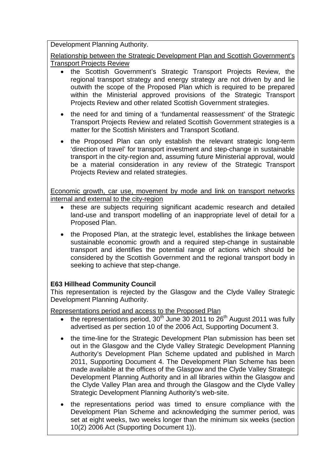Development Planning Authority.

Relationship between the Strategic Development Plan and Scottish Government's Transport Projects Review

- the Scottish Government's Strategic Transport Projects Review, the regional transport strategy and energy strategy are not driven by and lie outwith the scope of the Proposed Plan which is required to be prepared within the Ministerial approved provisions of the Strategic Transport Projects Review and other related Scottish Government strategies.
- the need for and timing of a 'fundamental reassessment' of the Strategic Transport Projects Review and related Scottish Government strategies is a matter for the Scottish Ministers and Transport Scotland.
- the Proposed Plan can only establish the relevant strategic long-term 'direction of travel' for transport investment and step-change in sustainable transport in the city-region and, assuming future Ministerial approval, would be a material consideration in any review of the Strategic Transport Projects Review and related strategies.

Economic growth, car use, movement by mode and link on transport networks internal and external to the city-region

- these are subjects requiring significant academic research and detailed land-use and transport modelling of an inappropriate level of detail for a Proposed Plan.
- the Proposed Plan, at the strategic level, establishes the linkage between sustainable economic growth and a required step-change in sustainable transport and identifies the potential range of actions which should be considered by the Scottish Government and the regional transport body in seeking to achieve that step-change.

# **E63 Hillhead Community Council**

This representation is rejected by the Glasgow and the Clyde Valley Strategic Development Planning Authority.

Representations period and access to the Proposed Plan

- the representations period,  $30<sup>th</sup>$  June 30 2011 to  $26<sup>th</sup>$  August 2011 was fully advertised as per section 10 of the 2006 Act, Supporting Document 3.
- the time-line for the Strategic Development Plan submission has been set out in the Glasgow and the Clyde Valley Strategic Development Planning Authority's Development Plan Scheme updated and published in March 2011, Supporting Document 4. The Development Plan Scheme has been made available at the offices of the Glasgow and the Clyde Valley Strategic Development Planning Authority and in all libraries within the Glasgow and the Clyde Valley Plan area and through the Glasgow and the Clyde Valley Strategic Development Planning Authority's web-site.
- the representations period was timed to ensure compliance with the Development Plan Scheme and acknowledging the summer period, was set at eight weeks, two weeks longer than the minimum six weeks (section 10(2) 2006 Act (Supporting Document 1)).